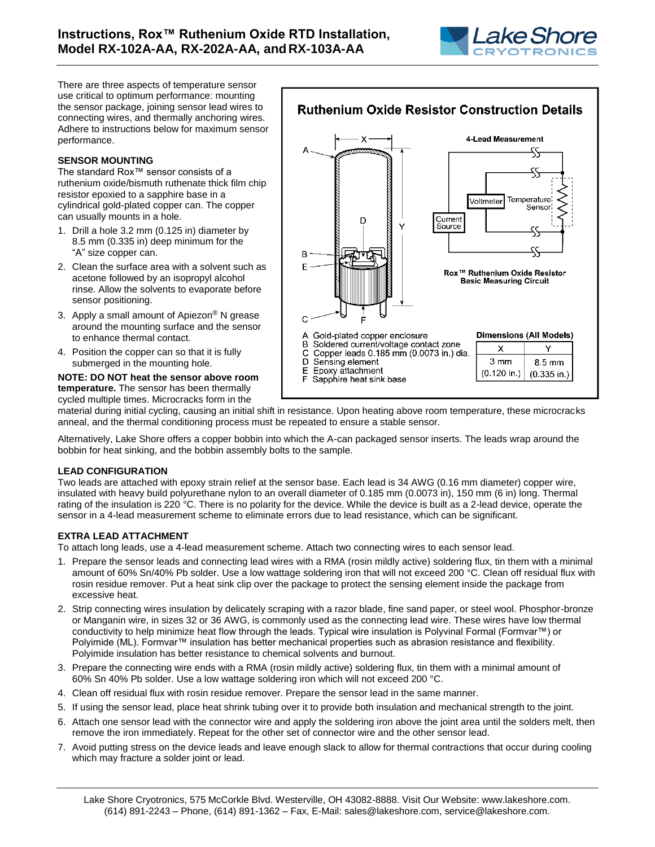

There are three aspects of temperature sensor use critical to optimum performance: mounting the sensor package, joining sensor lead wires to connecting wires, and thermally anchoring wires. Adhere to instructions below for maximum sensor performance.

### **SENSOR MOUNTING**

The standard Rox™ sensor consists of a ruthenium oxide/bismuth ruthenate thick film chip resistor epoxied to a sapphire base in a cylindrical gold-plated copper can. The copper can usually mounts in a hole.

- 1. Drill a hole 3.2 mm (0.125 in) diameter by 8.5 mm (0.335 in) deep minimum for the "A" size copper can.
- 2. Clean the surface area with a solvent such as acetone followed by an isopropyl alcohol rinse. Allow the solvents to evaporate before sensor positioning.
- 3. Apply a small amount of Apiezon® N grease around the mounting surface and the sensor to enhance thermal contact.
- 4. Position the copper can so that it is fully submerged in the mounting hole.

#### **NOTE: DO NOT heat the sensor above room temperature.** The sensor has been thermally cycled multiple times. Microcracks form in the



material during initial cycling, causing an initial shift in resistance. Upon heating above room temperature, these microcracks anneal, and the thermal conditioning process must be repeated to ensure a stable sensor.

Alternatively, Lake Shore offers a copper bobbin into which the A-can packaged sensor inserts. The leads wrap around the bobbin for heat sinking, and the bobbin assembly bolts to the sample.

# **LEAD CONFIGURATION**

Two leads are attached with epoxy strain relief at the sensor base. Each lead is 34 AWG (0.16 mm diameter) copper wire, insulated with heavy build polyurethane nylon to an overall diameter of 0.185 mm (0.0073 in), 150 mm (6 in) long. Thermal rating of the insulation is 220 °C. There is no polarity for the device. While the device is built as a 2-lead device, operate the sensor in a 4-lead measurement scheme to eliminate errors due to lead resistance, which can be significant.

# **EXTRA LEAD ATTACHMENT**

To attach long leads, use a 4-lead measurement scheme. Attach two connecting wires to each sensor lead.

- 1. Prepare the sensor leads and connecting lead wires with a RMA (rosin mildly active) soldering flux, tin them with a minimal amount of 60% Sn/40% Pb solder. Use a low wattage soldering iron that will not exceed 200 °C. Clean off residual flux with rosin residue remover. Put a heat sink clip over the package to protect the sensing element inside the package from excessive heat.
- 2. Strip connecting wires insulation by delicately scraping with a razor blade, fine sand paper, or steel wool. Phosphor-bronze or Manganin wire, in sizes 32 or 36 AWG, is commonly used as the connecting lead wire. These wires have low thermal conductivity to help minimize heat flow through the leads. Typical wire insulation is Polyvinal Formal (Formvar™) or Polyimide (ML). Formvar™ insulation has better mechanical properties such as abrasion resistance and flexibility. Polyimide insulation has better resistance to chemical solvents and burnout.
- 3. Prepare the connecting wire ends with a RMA (rosin mildly active) soldering flux, tin them with a minimal amount of 60% Sn 40% Pb solder. Use a low wattage soldering iron which will not exceed 200 °C.
- 4. Clean off residual flux with rosin residue remover. Prepare the sensor lead in the same manner.
- 5. If using the sensor lead, place heat shrink tubing over it to provide both insulation and mechanical strength to the joint.
- 6. Attach one sensor lead with the connector wire and apply the soldering iron above the joint area until the solders melt, then remove the iron immediately. Repeat for the other set of connector wire and the other sensor lead.
- 7. Avoid putting stress on the device leads and leave enough slack to allow for thermal contractions that occur during cooling which may fracture a solder joint or lead.